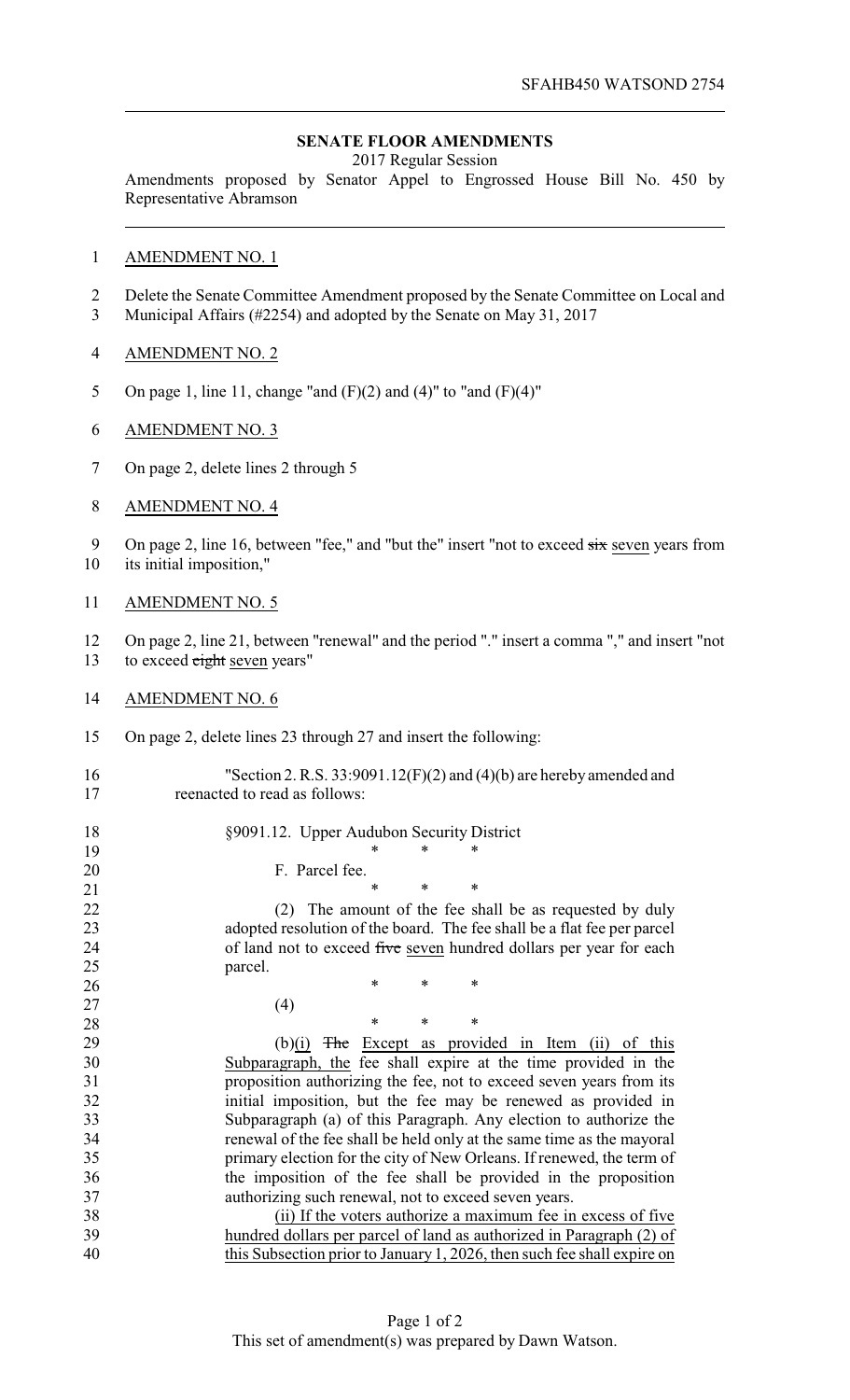## **SENATE FLOOR AMENDMENTS**

2017 Regular Session

Amendments proposed by Senator Appel to Engrossed House Bill No. 450 by Representative Abramson

## AMENDMENT NO. 1

- Delete the Senate Committee Amendment proposed by the Senate Committee on Local and Municipal Affairs (#2254) and adopted by the Senate on May 31, 2017
- AMENDMENT NO. 2
- 5 On page 1, line 11, change "and  $(F)(2)$  and  $(4)$ " to "and  $(F)(4)$ "
- AMENDMENT NO. 3
- On page 2, delete lines 2 through 5
- AMENDMENT NO. 4
- 9 On page 2, line 16, between "fee," and "but the" insert "not to exceed  $\frac{1}{\text{six}}$  seven years from
- its initial imposition,"
- AMENDMENT NO. 5
- On page 2, line 21, between "renewal" and the period "." insert a comma "," and insert "not 13 to exceed eight seven years"
- AMENDMENT NO. 6
- On page 2, delete lines 23 through 27 and insert the following:
- "Section 2. R.S. 33:9091.12(F)(2) and (4)(b) are hereby amended and reenacted to read as follows:
- 18 §9091.12. Upper Audubon Security District <br>19 \* \* \*
	-
- 20 F. Parcel fee.
- $*$  \* \* \* (2) The amount of the fee shall be as requested by duly adopted resolution of the board. The fee shall be a flat fee per parcel 24 of land not to exceed five seven hundred dollars per year for each parcel.
- 27 (4)

26 \* \* \* \* **\*** \* \* \*

29 (b) $(i)$  The Except as provided in Item (ii) of this Subparagraph, the fee shall expire at the time provided in the proposition authorizing the fee, not to exceed seven years from its initial imposition, but the fee may be renewed as provided in Subparagraph (a) of this Paragraph. Any election to authorize the renewal of the fee shall be held only at the same time as the mayoral primary election for the city of New Orleans. If renewed, the term of the imposition of the fee shall be provided in the proposition authorizing such renewal, not to exceed seven years.

 (ii) If the voters authorize a maximum fee in excess of five hundred dollars per parcel of land as authorized in Paragraph (2) of this Subsection prior to January 1, 2026, then such fee shall expire on